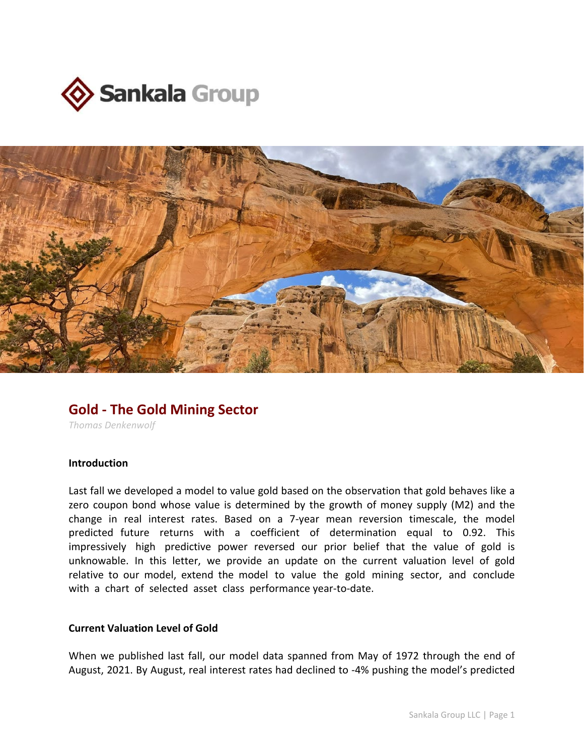



# **Gold - The Gold Mining Sector**

*Thomas Denkenwolf*

## **Introduction**

Last fall we developed a model to value gold based on the observation that gold behaves like a zero coupon bond whose value is determined by the growth of money supply (M2) and the change in real interest rates. Based on a 7-year mean reversion timescale, the model predicted future returns with a coefficient of determination equal to 0.92. This impressively high predictive power reversed our prior belief that the value of gold is unknowable. In this letter, we provide an update on the current valuation level of gold relative to our model, extend the model to value the gold mining sector, and conclude with a chart of selected asset class performance year-to-date.

#### **Current Valuation Level of Gold**

When we published last fall, our model data spanned from May of 1972 through the end of August, 2021. By August, real interest rates had declined to -4% pushing the model's predicted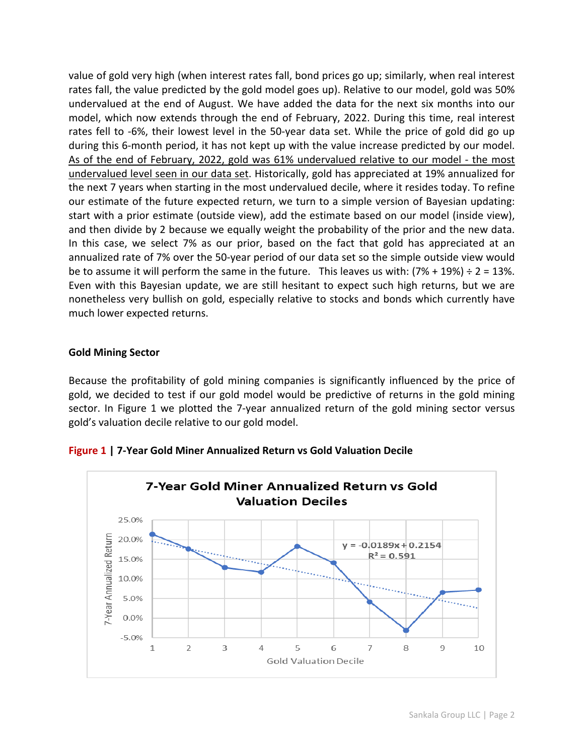value of gold very high (when interest rates fall, bond prices go up; similarly, when real interest rates fall, the value predicted by the gold model goes up). Relative to our model, gold was 50% undervalued at the end of August. We have added the data for the next six months into our model, which now extends through the end of February, 2022. During this time, real interest rates fell to -6%, their lowest level in the 50-year data set. While the price of gold did go up during this 6-month period, it has not kept up with the value increase predicted by our model. As of the end of February, 2022, gold was 61% undervalued relative to our model - the most undervalued level seen in our data set. Historically, gold has appreciated at 19% annualized for the next 7 years when starting in the most undervalued decile, where it resides today. To refine our estimate of the future expected return, we turn to a simple version of Bayesian updating: start with a prior estimate (outside view), add the estimate based on our model (inside view), and then divide by 2 because we equally weight the probability of the prior and the new data. In this case, we select 7% as our prior, based on the fact that gold has appreciated at an annualized rate of 7% over the 50-year period of our data set so the simple outside view would be to assume it will perform the same in the future. This leaves us with:  $(7% + 19%) \div 2 = 13%$ . Even with this Bayesian update, we are still hesitant to expect such high returns, but we are nonetheless very bullish on gold, especially relative to stocks and bonds which currently have much lower expected returns.

## **Gold Mining Sector**

Because the profitability of gold mining companies is significantly influenced by the price of gold, we decided to test if our gold model would be predictive of returns in the gold mining sector. In Figure 1 we plotted the 7-year annualized return of the gold mining sector versus gold's valuation decile relative to our gold model.



**Figure 1 | 7-Year Gold Miner Annualized Return vs Gold Valuation Decile**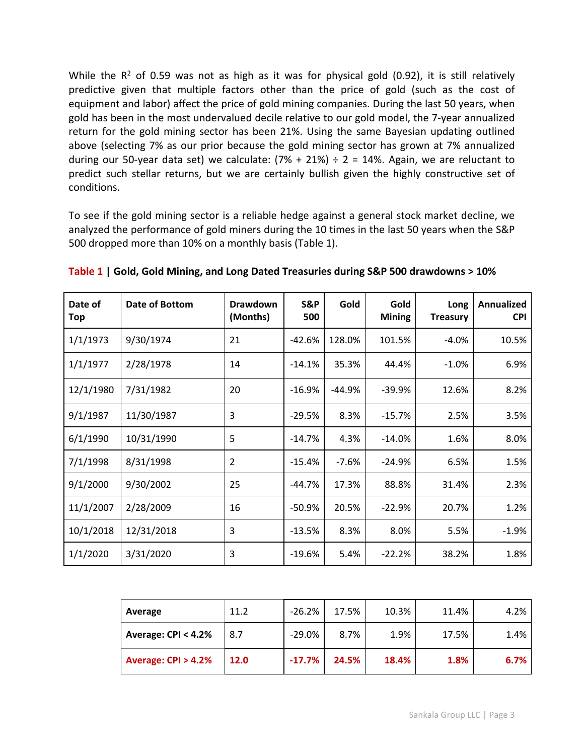While the  $R^2$  of 0.59 was not as high as it was for physical gold (0.92), it is still relatively predictive given that multiple factors other than the price of gold (such as the cost of equipment and labor) affect the price of gold mining companies. During the last 50 years, when gold has been in the most undervalued decile relative to our gold model, the 7-year annualized return for the gold mining sector has been 21%. Using the same Bayesian updating outlined above (selecting 7% as our prior because the gold mining sector has grown at 7% annualized during our 50-year data set) we calculate:  $(7% + 21%) \div 2 = 14%$ . Again, we are reluctant to predict such stellar returns, but we are certainly bullish given the highly constructive set of conditions.

To see if the gold mining sector is a reliable hedge against a general stock market decline, we analyzed the performance of gold miners during the 10 times in the last 50 years when the S&P 500 dropped more than 10% on a monthly basis (Table 1).

| Date of<br>Top | Date of Bottom | <b>Drawdown</b><br>(Months) | S&P<br>500 | Gold    | Gold<br><b>Mining</b> | Long<br><b>Treasury</b> | Annualized<br><b>CPI</b> |
|----------------|----------------|-----------------------------|------------|---------|-----------------------|-------------------------|--------------------------|
| 1/1/1973       | 9/30/1974      | 21                          | $-42.6%$   | 128.0%  | 101.5%                | $-4.0%$                 | 10.5%                    |
| 1/1/1977       | 2/28/1978      | 14                          | $-14.1%$   | 35.3%   | 44.4%                 | $-1.0\%$                | 6.9%                     |
| 12/1/1980      | 7/31/1982      | 20                          | $-16.9%$   | -44.9%  | $-39.9%$              | 12.6%                   | 8.2%                     |
| 9/1/1987       | 11/30/1987     | 3                           | $-29.5%$   | 8.3%    | $-15.7%$              | 2.5%                    | 3.5%                     |
| 6/1/1990       | 10/31/1990     | 5                           | $-14.7%$   | 4.3%    | $-14.0%$              | 1.6%                    | 8.0%                     |
| 7/1/1998       | 8/31/1998      | $\overline{2}$              | $-15.4%$   | $-7.6%$ | $-24.9%$              | 6.5%                    | 1.5%                     |
| 9/1/2000       | 9/30/2002      | 25                          | $-44.7%$   | 17.3%   | 88.8%                 | 31.4%                   | 2.3%                     |
| 11/1/2007      | 2/28/2009      | 16                          | $-50.9%$   | 20.5%   | $-22.9%$              | 20.7%                   | 1.2%                     |
| 10/1/2018      | 12/31/2018     | 3                           | $-13.5%$   | 8.3%    | 8.0%                  | 5.5%                    | $-1.9%$                  |
| 1/1/2020       | 3/31/2020      | 3                           | $-19.6%$   | 5.4%    | $-22.2%$              | 38.2%                   | 1.8%                     |

**Table 1 | Gold, Gold Mining, and Long Dated Treasuries during S&P 500 drawdowns > 10%**

| Average             | 11.2 | $-26.2%$  | 17.5% | 10.3% | 11.4% | 4.2% |
|---------------------|------|-----------|-------|-------|-------|------|
| Average: CPI < 4.2% | 8.7  | $-29.0\%$ | 8.7%  | 1.9%  | 17.5% | 1.4% |
| Average: CPI > 4.2% | 12.0 | $-17.7%$  | 24.5% | 18.4% | 1.8%  | 6.7% |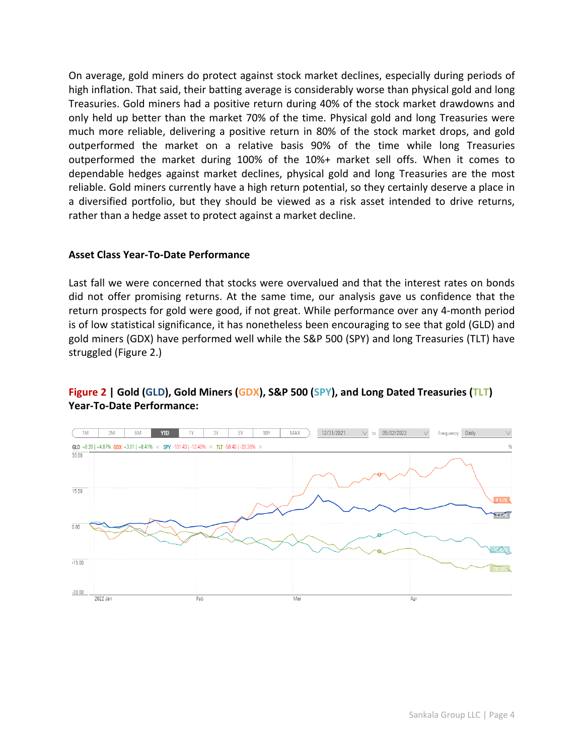On average, gold miners do protect against stock market declines, especially during periods of high inflation. That said, their batting average is considerably worse than physical gold and long Treasuries. Gold miners had a positive return during 40% of the stock market drawdowns and only held up better than the market 70% of the time. Physical gold and long Treasuries were much more reliable, delivering a positive return in 80% of the stock market drops, and gold outperformed the market on a relative basis 90% of the time while long Treasuries outperformed the market during 100% of the 10%+ market sell offs. When it comes to dependable hedges against market declines, physical gold and long Treasuries are the most reliable. Gold miners currently have a high return potential, so they certainly deserve a place in a diversified portfolio, but they should be viewed as a risk asset intended to drive returns, rather than a hedge asset to protect against a market decline.

### **Asset Class Year-To-Date Performance**

Last fall we were concerned that stocks were overvalued and that the interest rates on bonds did not offer promising returns. At the same time, our analysis gave us confidence that the return prospects for gold were good, if not great. While performance over any 4-month period is of low statistical significance, it has nonetheless been encouraging to see that gold (GLD) and gold miners (GDX) have performed well while the S&P 500 (SPY) and long Treasuries (TLT) have struggled (Figure 2.)

## **Figure 2 | Gold (GLD), Gold Miners (GDX), S&P 500 (SPY), and Long Dated Treasuries (TLT) Year-To-Date Performance:**